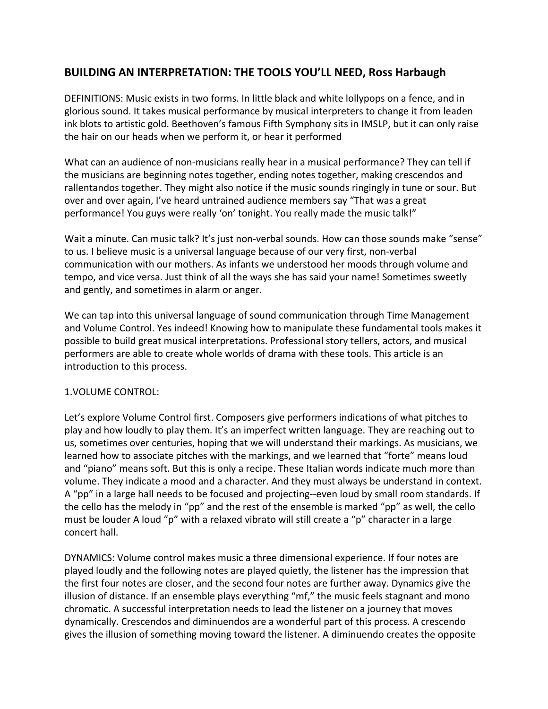# **BUILDING AN INTERPRETATION: THE TOOLS YOU'LL NEED, Ross Harbaugh**

DEFINITIONS: Music exists in two forms. In little black and white lollypops on a fence, and in glorious sound. It takes musical performance by musical interpreters to change it from leaden ink blots to artistic gold. Beethoven's famous Fifth Symphony sits in IMSLP, but it can only raise the hair on our heads when we perform it, or hear it performed

What can an audience of non-musicians really hear in a musical performance? They can tell if the musicians are beginning notes together, ending notes together, making crescendos and rallentandos together. They might also notice if the music sounds ringingly in tune or sour. But over and over again, I've heard untrained audience members say "That was a great performance! You guys were really 'on' tonight. You really made the music talk!"

Wait a minute. Can music talk? It's just non-verbal sounds. How can those sounds make "sense" to us. I believe music is a universal language because of our very first, non-verbal communication with our mothers. As infants we understood her moods through volume and tempo, and vice versa. Just think of all the ways she has said your name! Sometimes sweetly and gently, and sometimes in alarm or anger.

We can tap into this universal language of sound communication through Time Management and Volume Control. Yes indeed! Knowing how to manipulate these fundamental tools makes it possible to build great musical interpretations. Professional story tellers, actors, and musical performers are able to create whole worlds of drama with these tools. This article is an introduction to this process.

# 1.VOLUME CONTROL:

Let's explore Volume Control first. Composers give performers indications of what pitches to play and how loudly to play them. It's an imperfect written language. They are reaching out to us, sometimes over centuries, hoping that we will understand their markings. As musicians, we learned how to associate pitches with the markings, and we learned that "forte" means loud and "piano" means soft. But this is only a recipe. These Italian words indicate much more than volume. They indicate a mood and a character. And they must always be understand in context. A "pp" in a large hall needs to be focused and projecting--even loud by small room standards. If the cello has the melody in "pp" and the rest of the ensemble is marked "pp" as well, the cello must be louder A loud "p" with a relaxed vibrato will still create a "p" character in a large concert hall.

DYNAMICS: Volume control makes music a three dimensional experience. If four notes are played loudly and the following notes are played quietly, the listener has the impression that the first four notes are closer, and the second four notes are further away. Dynamics give the illusion of distance. If an ensemble plays everything "mf," the music feels stagnant and mono chromatic. A successful interpretation needs to lead the listener on a journey that moves dynamically. Crescendos and diminuendos are a wonderful part of this process. A crescendo gives the illusion of something moving toward the listener. A diminuendo creates the opposite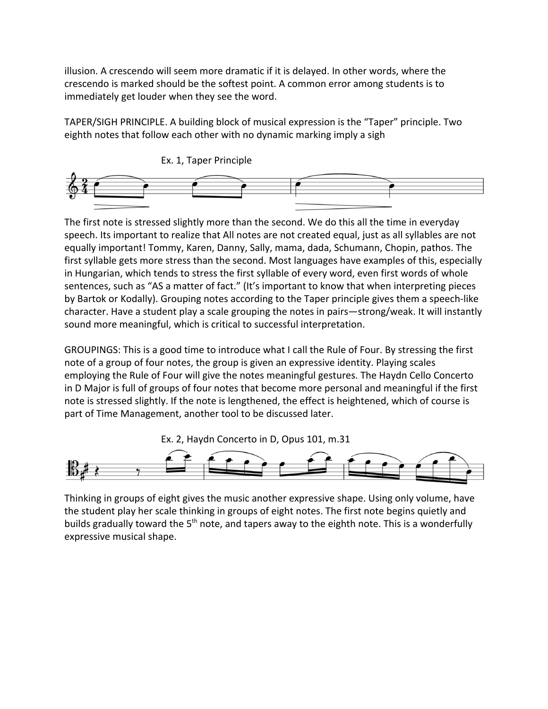illusion. A crescendo will seem more dramatic if it is delayed. In other words, where the crescendo is marked should be the softest point. A common error among students is to immediately get louder when they see the word.

TAPER/SIGH PRINCIPLE. A building block of musical expression is the "Taper" principle. Two eighth notes that follow each other with no dynamic marking imply a sigh



The first note is stressed slightly more than the second. We do this all the time in everyday speech. Its important to realize that All notes are not created equal, just as all syllables are not equally important! Tommy, Karen, Danny, Sally, mama, dada, Schumann, Chopin, pathos. The first syllable gets more stress than the second. Most languages have examples of this, especially in Hungarian, which tends to stress the first syllable of every word, even first words of whole sentences, such as "AS a matter of fact." (It's important to know that when interpreting pieces by Bartok or Kodally). Grouping notes according to the Taper principle gives them a speech-like character. Have a student play a scale grouping the notes in pairs—strong/weak. It will instantly sound more meaningful, which is critical to successful interpretation.

GROUPINGS: This is a good time to introduce what I call the Rule of Four. By stressing the first note of a group of four notes, the group is given an expressive identity. Playing scales employing the Rule of Four will give the notes meaningful gestures. The Haydn Cello Concerto in D Major is full of groups of four notes that become more personal and meaningful if the first note is stressed slightly. If the note is lengthened, the effect is heightened, which of course is part of Time Management, another tool to be discussed later.





Thinking in groups of eight gives the music another expressive shape. Using only volume, have the student play her scale thinking in groups of eight notes. The first note begins quietly and builds gradually toward the 5<sup>th</sup> note, and tapers away to the eighth note. This is a wonderfully expressive musical shape.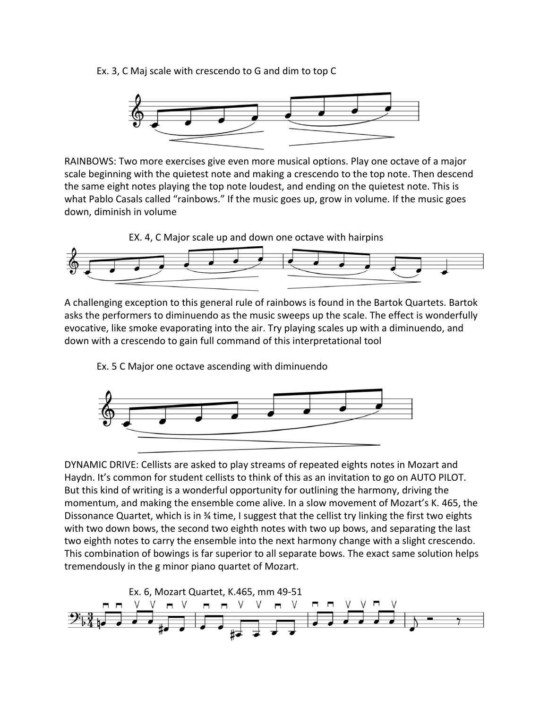Ex. 3, C Maj scale with crescendo to G and dim to top C



RAINBOWS: Two more exercises give even more musical options. Play one octave of a major scale beginning with the quietest note and making a crescendo to the top note. Then descend the same eight notes playing the top note loudest, and ending on the quietest note. This is what Pablo Casals called "rainbows." If the music goes up, grow in volume. If the music goes down, diminish in volume

EX. 4, C Major scale up and down one octave with hairpins



A challenging exception to this general rule of rainbows is found in the Bartok Quartets. Bartok asks the performers to diminuendo as the music sweeps up the scale. The effect is wonderfully evocative, like smoke evaporating into the air. Try playing scales up with a diminuendo, and down with a crescendo to gain full command of this interpretational tool

Ex. 5 C Major one octave ascending with diminuendo



DYNAMIC DRIVE: Cellists are asked to play streams of repeated eights notes in Mozart and Haydn. It's common for student cellists to think of this as an invitation to go on AUTO PILOT. But this kind of writing is a wonderful opportunity for outlining the harmony, driving the momentum, and making the ensemble come alive. In a slow movement of Mozart's K. 465, the Dissonance Quartet, which is in ¾ time, I suggest that the cellist try linking the first two eights with two down bows, the second two eighth notes with two up bows, and separating the last two eighth notes to carry the ensemble into the next harmony change with a slight crescendo. This combination of bowings is far superior to all separate bows. The exact same solution helps tremendously in the g minor piano quartet of Mozart.

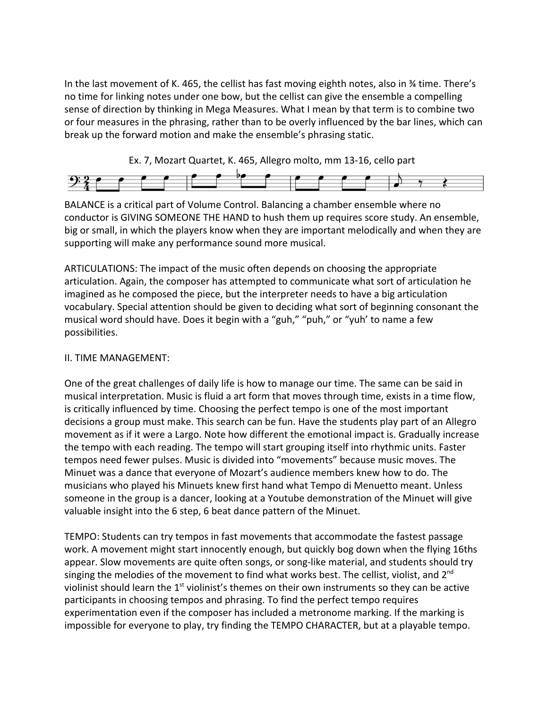In the last movement of K. 465, the cellist has fast moving eighth notes, also in ¾ time. There's no time for linking notes under one bow, but the cellist can give the ensemble a compelling sense of direction by thinking in Mega Measures. What I mean by that term is to combine two or four measures in the phrasing, rather than to be overly influenced by the bar lines, which can break up the forward motion and make the ensemble's phrasing static.

Ex. 7, Mozart Quartet, K. 465, Allegro molto, mm 13-16, cello part



BALANCE is a critical part of Volume Control. Balancing a chamber ensemble where no conductor is GIVING SOMEONE THE HAND to hush them up requires score study. An ensemble, big or small, in which the players know when they are important melodically and when they are supporting will make any performance sound more musical.

ARTICULATIONS: The impact of the music often depends on choosing the appropriate articulation. Again, the composer has attempted to communicate what sort of articulation he imagined as he composed the piece, but the interpreter needs to have a big articulation vocabulary. Special attention should be given to deciding what sort of beginning consonant the musical word should have. Does it begin with a "guh," "puh," or "yuh' to name a few possibilities.

# II. TIME MANAGEMENT:

One of the great challenges of daily life is how to manage our time. The same can be said in musical interpretation. Music is fluid a art form that moves through time, exists in a time flow, is critically influenced by time. Choosing the perfect tempo is one of the most important decisions a group must make. This search can be fun. Have the students play part of an Allegro movement as if it were a Largo. Note how different the emotional impact is. Gradually increase the tempo with each reading. The tempo will start grouping itself into rhythmic units. Faster tempos need fewer pulses. Music is divided into "movements" because music moves. The Minuet was a dance that everyone of Mozart's audience members knew how to do. The musicians who played his Minuets knew first hand what Tempo di Menuetto meant. Unless someone in the group is a dancer, looking at a Youtube demonstration of the Minuet will give valuable insight into the 6 step, 6 beat dance pattern of the Minuet.

TEMPO: Students can try tempos in fast movements that accommodate the fastest passage work. A movement might start innocently enough, but quickly bog down when the flying 16ths appear. Slow movements are quite often songs, or song-like material, and students should try singing the melodies of the movement to find what works best. The cellist, violist, and  $2^{nd}$ violinist should learn the 1<sup>st</sup> violinist's themes on their own instruments so they can be active participants in choosing tempos and phrasing. To find the perfect tempo requires experimentation even if the composer has included a metronome marking. If the marking is impossible for everyone to play, try finding the TEMPO CHARACTER, but at a playable tempo.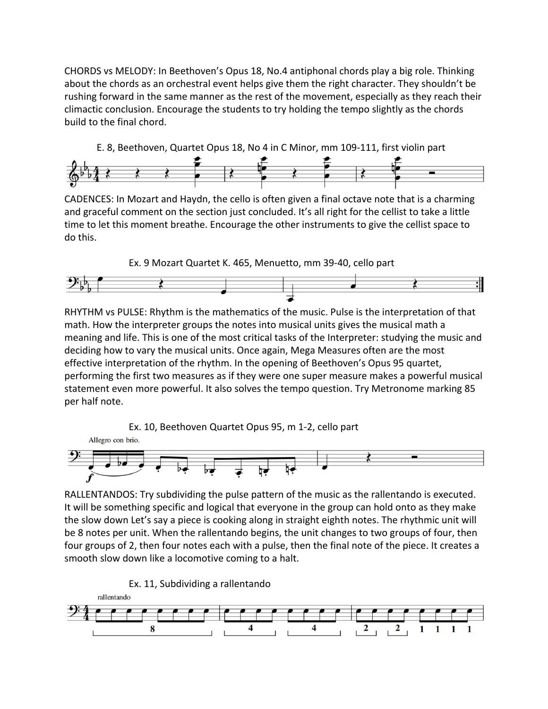CHORDS vs MELODY: In Beethoven's Opus 18, No.4 antiphonal chords play a big role. Thinking about the chords as an orchestral event helps give them the right character. They shouldn't be rushing forward in the same manner as the rest of the movement, especially as they reach their climactic conclusion. Encourage the students to try holding the tempo slightly as the chords build to the final chord.





CADENCES: In Mozart and Haydn, the cello is often given a final octave note that is a charming and graceful comment on the section just concluded. It's all right for the cellist to take a little time to let this moment breathe. Encourage the other instruments to give the cellist space to do this.



RHYTHM vs PULSE: Rhythm is the mathematics of the music. Pulse is the interpretation of that math. How the interpreter groups the notes into musical units gives the musical math a meaning and life. This is one of the most critical tasks of the Interpreter: studying the music and deciding how to vary the musical units. Once again, Mega Measures often are the most effective interpretation of the rhythm. In the opening of Beethoven's Opus 95 quartet, performing the first two measures as if they were one super measure makes a powerful musical statement even more powerful. It also solves the tempo question. Try Metronome marking 85 per half note.



RALLENTANDOS: Try subdividing the pulse pattern of the music as the rallentando is executed. It will be something specific and logical that everyone in the group can hold onto as they make the slow down Let's say a piece is cooking along in straight eighth notes. The rhythmic unit will be 8 notes per unit. When the rallentando begins, the unit changes to two groups of four, then four groups of 2, then four notes each with a pulse, then the final note of the piece. It creates a smooth slow down like a locomotive coming to a halt.

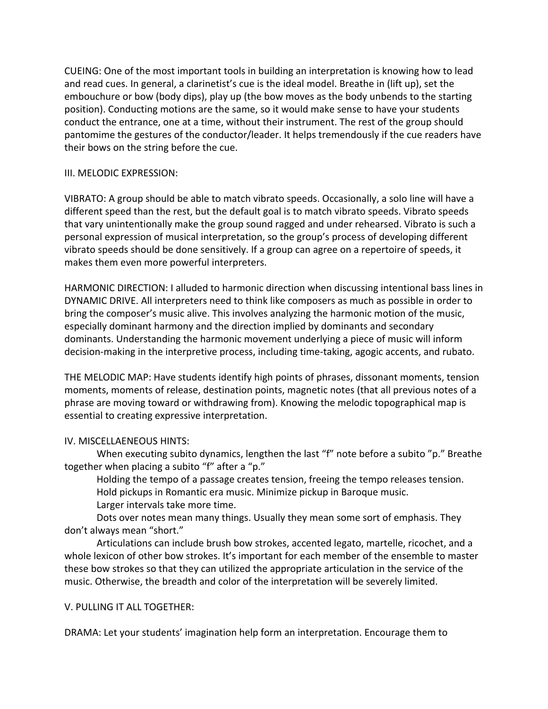CUEING: One of the most important tools in building an interpretation is knowing how to lead and read cues. In general, a clarinetist's cue is the ideal model. Breathe in (lift up), set the embouchure or bow (body dips), play up (the bow moves as the body unbends to the starting position). Conducting motions are the same, so it would make sense to have your students conduct the entrance, one at a time, without their instrument. The rest of the group should pantomime the gestures of the conductor/leader. It helps tremendously if the cue readers have their bows on the string before the cue.

# III. MELODIC EXPRESSION:

VIBRATO: A group should be able to match vibrato speeds. Occasionally, a solo line will have a different speed than the rest, but the default goal is to match vibrato speeds. Vibrato speeds that vary unintentionally make the group sound ragged and under rehearsed. Vibrato is such a personal expression of musical interpretation, so the group's process of developing different vibrato speeds should be done sensitively. If a group can agree on a repertoire of speeds, it makes them even more powerful interpreters.

HARMONIC DIRECTION: I alluded to harmonic direction when discussing intentional bass lines in DYNAMIC DRIVE. All interpreters need to think like composers as much as possible in order to bring the composer's music alive. This involves analyzing the harmonic motion of the music, especially dominant harmony and the direction implied by dominants and secondary dominants. Understanding the harmonic movement underlying a piece of music will inform decision-making in the interpretive process, including time-taking, agogic accents, and rubato.

THE MELODIC MAP: Have students identify high points of phrases, dissonant moments, tension moments, moments of release, destination points, magnetic notes (that all previous notes of a phrase are moving toward or withdrawing from). Knowing the melodic topographical map is essential to creating expressive interpretation.

# IV. MISCELLAENEOUS HINTS:

When executing subito dynamics, lengthen the last "f" note before a subito "p." Breathe together when placing a subito "f" after a "p."

Holding the tempo of a passage creates tension, freeing the tempo releases tension. Hold pickups in Romantic era music. Minimize pickup in Baroque music.

Larger intervals take more time.

Dots over notes mean many things. Usually they mean some sort of emphasis. They don't always mean "short."

Articulations can include brush bow strokes, accented legato, martelle, ricochet, and a whole lexicon of other bow strokes. It's important for each member of the ensemble to master these bow strokes so that they can utilized the appropriate articulation in the service of the music. Otherwise, the breadth and color of the interpretation will be severely limited.

# V. PULLING IT ALL TOGETHER:

DRAMA: Let your students' imagination help form an interpretation. Encourage them to